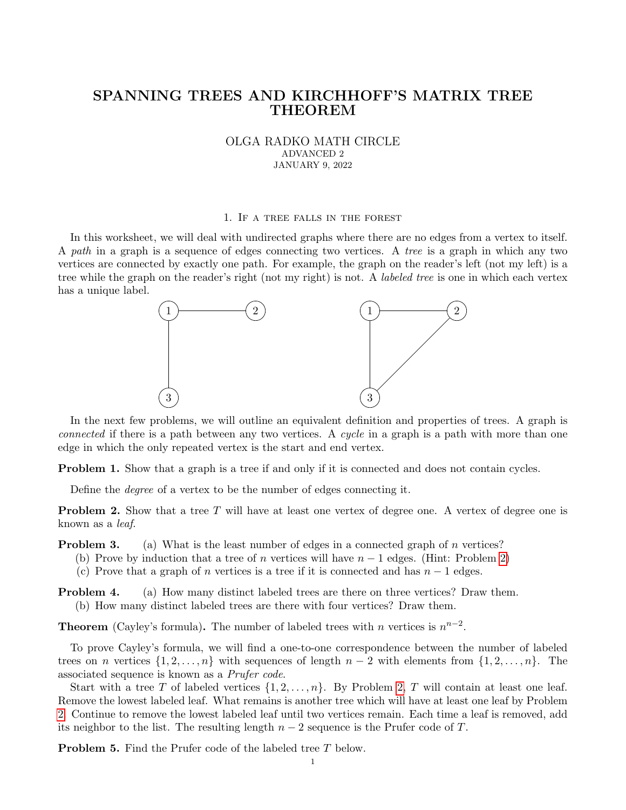# SPANNING TREES AND KIRCHHOFF'S MATRIX TREE THEOREM

OLGA RADKO MATH CIRCLE ADVANCED 2 JANUARY 9, 2022

#### 1. If a tree falls in the forest

In this worksheet, we will deal with undirected graphs where there are no edges from a vertex to itself. A path in a graph is a sequence of edges connecting two vertices. A tree is a graph in which any two vertices are connected by exactly one path. For example, the graph on the reader's left (not my left) is a tree while the graph on the reader's right (not my right) is not. A *labeled tree* is one in which each vertex has a unique label.



In the next few problems, we will outline an equivalent definition and properties of trees. A graph is connected if there is a path between any two vertices. A cycle in a graph is a path with more than one edge in which the only repeated vertex is the start and end vertex.

**Problem 1.** Show that a graph is a tree if and only if it is connected and does not contain cycles.

Define the degree of a vertex to be the number of edges connecting it.

<span id="page-0-0"></span>**Problem 2.** Show that a tree T will have at least one vertex of degree one. A vertex of degree one is known as a leaf.

<span id="page-0-1"></span>**Problem 3.** (a) What is the least number of edges in a connected graph of n vertices?

- (b) Prove by induction that a tree of n vertices will have  $n-1$  edges. (Hint: Problem [2\)](#page-0-0)
- (c) Prove that a graph of n vertices is a tree if it is connected and has  $n-1$  edges.

**Problem 4.** (a) How many distinct labeled trees are there on three vertices? Draw them. (b) How many distinct labeled trees are there with four vertices? Draw them.

**Theorem** (Cayley's formula). The number of labeled trees with n vertices is  $n^{n-2}$ .

To prove Cayley's formula, we will find a one-to-one correspondence between the number of labeled trees on n vertices  $\{1, 2, \ldots, n\}$  with sequences of length  $n-2$  with elements from  $\{1, 2, \ldots, n\}$ . The associated sequence is known as a Prufer code.

Start with a tree T of labeled vertices  $\{1, 2, \ldots, n\}$  $\{1, 2, \ldots, n\}$  $\{1, 2, \ldots, n\}$ . By Problem 2, T will contain at least one leaf. Remove the lowest labeled leaf. What remains is another tree which will have at least one leaf by Problem [2.](#page-0-0) Continue to remove the lowest labeled leaf until two vertices remain. Each time a leaf is removed, add its neighbor to the list. The resulting length  $n-2$  sequence is the Prufer code of T.

Problem 5. Find the Prufer code of the labeled tree T below.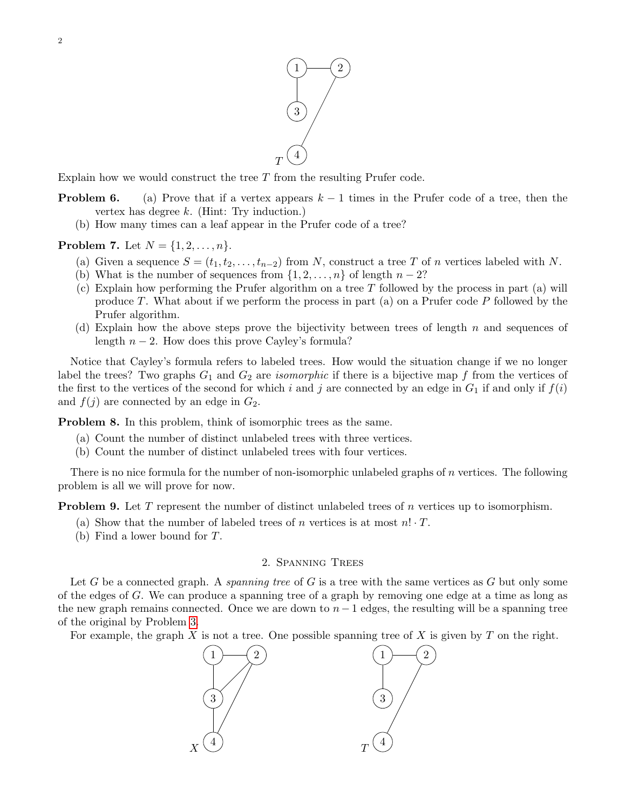

Explain how we would construct the tree  $T$  from the resulting Prufer code.

- **Problem 6.** (a) Prove that if a vertex appears  $k 1$  times in the Prufer code of a tree, then the vertex has degree  $k$ . (Hint: Try induction.)
	- (b) How many times can a leaf appear in the Prufer code of a tree?

## **Problem 7.** Let  $N = \{1, 2, ..., n\}$ .

- (a) Given a sequence  $S = (t_1, t_2, \ldots, t_{n-2})$  from N, construct a tree T of n vertices labeled with N.
- (b) What is the number of sequences from  $\{1, 2, \ldots, n\}$  of length  $n 2$ ?
- (c) Explain how performing the Prufer algorithm on a tree  $T$  followed by the process in part (a) will produce T. What about if we perform the process in part (a) on a Prufer code  $P$  followed by the Prufer algorithm.
- (d) Explain how the above steps prove the bijectivity between trees of length  $n$  and sequences of length  $n-2$ . How does this prove Cayley's formula?

Notice that Cayley's formula refers to labeled trees. How would the situation change if we no longer label the trees? Two graphs  $G_1$  and  $G_2$  are *isomorphic* if there is a bijective map f from the vertices of the first to the vertices of the second for which i and j are connected by an edge in  $G_1$  if and only if  $f(i)$ and  $f(j)$  are connected by an edge in  $G_2$ .

Problem 8. In this problem, think of isomorphic trees as the same.

- (a) Count the number of distinct unlabeled trees with three vertices.
- (b) Count the number of distinct unlabeled trees with four vertices.

There is no nice formula for the number of non-isomorphic unlabeled graphs of  $n$  vertices. The following problem is all we will prove for now.

**Problem 9.** Let T represent the number of distinct unlabeled trees of n vertices up to isomorphism.

- (a) Show that the number of labeled trees of n vertices is at most  $n! \cdot T$ .
- (b) Find a lower bound for T.

## 2. Spanning Trees

Let G be a connected graph. A *spanning tree* of G is a tree with the same vertices as G but only some of the edges of G. We can produce a spanning tree of a graph by removing one edge at a time as long as the new graph remains connected. Once we are down to  $n - 1$  edges, the resulting will be a spanning tree of the original by Problem [3.](#page-0-1)

For example, the graph  $X$  is not a tree. One possible spanning tree of  $X$  is given by  $T$  on the right.

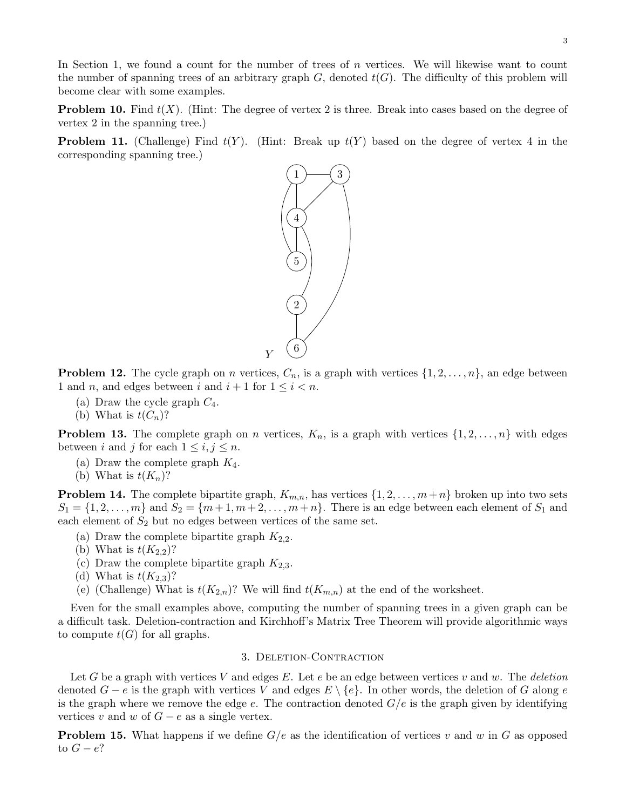In Section 1, we found a count for the number of trees of  $n$  vertices. We will likewise want to count the number of spanning trees of an arbitrary graph  $G$ , denoted  $t(G)$ . The difficulty of this problem will become clear with some examples.

<span id="page-2-3"></span>**Problem 10.** Find  $t(X)$ . (Hint: The degree of vertex 2 is three. Break into cases based on the degree of vertex 2 in the spanning tree.)

**Problem 11.** (Challenge) Find  $t(Y)$ . (Hint: Break up  $t(Y)$  based on the degree of vertex 4 in the corresponding spanning tree.)



<span id="page-2-0"></span>**Problem 12.** The cycle graph on n vertices,  $C_n$ , is a graph with vertices  $\{1, 2, \ldots, n\}$ , an edge between 1 and *n*, and edges between *i* and  $i + 1$  for  $1 \leq i < n$ .

- (a) Draw the cycle graph  $C_4$ .
- (b) What is  $t(C_n)$ ?

<span id="page-2-1"></span>**Problem 13.** The complete graph on *n* vertices,  $K_n$ , is a graph with vertices  $\{1, 2, \ldots, n\}$  with edges between i and j for each  $1 \leq i, j \leq n$ .

- (a) Draw the complete graph  $K_4$ .
- (b) What is  $t(K_n)$ ?

<span id="page-2-2"></span>**Problem 14.** The complete bipartite graph,  $K_{m,n}$ , has vertices  $\{1, 2, \ldots, m+n\}$  broken up into two sets  $S_1 = \{1, 2, \ldots, m\}$  and  $S_2 = \{m+1, m+2, \ldots, m+n\}$ . There is an edge between each element of  $S_1$  and each element of  $S_2$  but no edges between vertices of the same set.

- (a) Draw the complete bipartite graph  $K_{2,2}$ .
- (b) What is  $t(K_{2,2})$ ?
- (c) Draw the complete bipartite graph  $K_{2,3}$ .
- (d) What is  $t(K_{2,3})$ ?
- (e) (Challenge) What is  $t(K_{2,n})$ ? We will find  $t(K_{m,n})$  at the end of the worksheet.

Even for the small examples above, computing the number of spanning trees in a given graph can be a difficult task. Deletion-contraction and Kirchhoff's Matrix Tree Theorem will provide algorithmic ways to compute  $t(G)$  for all graphs.

## 3. Deletion-Contraction

Let G be a graph with vertices V and edges E. Let e be an edge between vertices v and w. The deletion denoted  $G - e$  is the graph with vertices V and edges  $E \setminus \{e\}$ . In other words, the deletion of G along e is the graph where we remove the edge  $e$ . The contraction denoted  $G/e$  is the graph given by identifying vertices v and w of  $G - e$  as a single vertex.

**Problem 15.** What happens if we define  $G/e$  as the identification of vertices v and w in G as opposed to  $G - e$ ?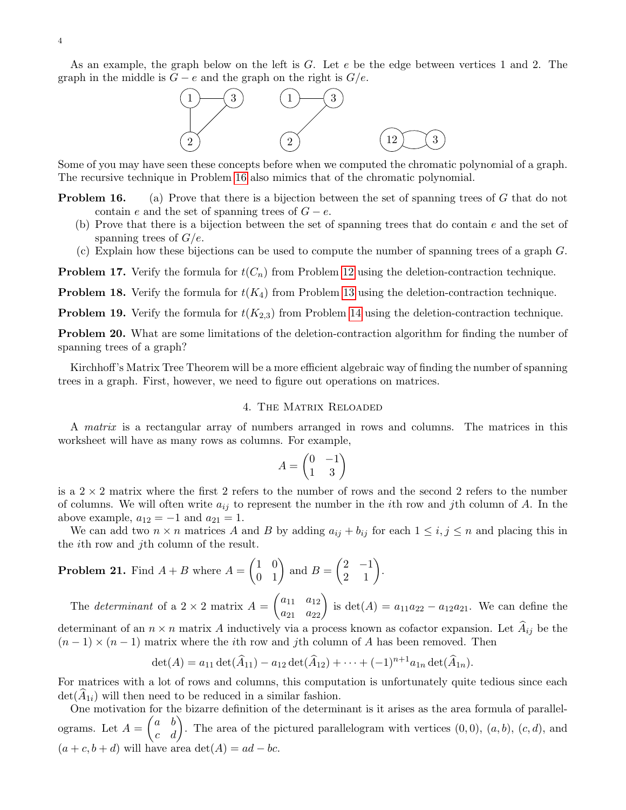

Some of you may have seen these concepts before when we computed the chromatic polynomial of a graph. The recursive technique in Problem [16](#page-3-0) also mimics that of the chromatic polynomial.

- <span id="page-3-0"></span>**Problem 16.** (a) Prove that there is a bijection between the set of spanning trees of G that do not contain e and the set of spanning trees of  $G - e$ .
	- (b) Prove that there is a bijection between the set of spanning trees that do contain e and the set of spanning trees of  $G/e$ .
	- (c) Explain how these bijections can be used to compute the number of spanning trees of a graph G.

**Problem 17.** Verify the formula for  $t(C_n)$  from Problem [12](#page-2-0) using the deletion-contraction technique.

**Problem 18.** Verify the formula for  $t(K_4)$  from Problem [13](#page-2-1) using the deletion-contraction technique.

**Problem 19.** Verify the formula for  $t(K_{2,3})$  from Problem [14](#page-2-2) using the deletion-contraction technique.

Problem 20. What are some limitations of the deletion-contraction algorithm for finding the number of spanning trees of a graph?

Kirchhoff's Matrix Tree Theorem will be a more efficient algebraic way of finding the number of spanning trees in a graph. First, however, we need to figure out operations on matrices.

#### 4. The Matrix Reloaded

A matrix is a rectangular array of numbers arranged in rows and columns. The matrices in this worksheet will have as many rows as columns. For example,

$$
A = \begin{pmatrix} 0 & -1 \\ 1 & 3 \end{pmatrix}
$$

is a  $2 \times 2$  matrix where the first 2 refers to the number of rows and the second 2 refers to the number of columns. We will often write  $a_{ij}$  to represent the number in the *i*th row and *j*th column of A. In the above example,  $a_{12} = -1$  and  $a_{21} = 1$ .

We can add two  $n \times n$  matrices A and B by adding  $a_{ij} + b_{ij}$  for each  $1 \le i, j \le n$  and placing this in the ith row and jth column of the result.

**Problem 21.** Find 
$$
A + B
$$
 where  $A = \begin{pmatrix} 1 & 0 \\ 0 & 1 \end{pmatrix}$  and  $B = \begin{pmatrix} 2 & -1 \\ 2 & 1 \end{pmatrix}$ .

The *determinant* of a 2 × 2 matrix  $A = \begin{pmatrix} a_{11} & a_{12} \\ a_{21} & a_{22} \end{pmatrix}$  is  $det(A) = a_{11}a_{22} - a_{12}a_{21}$ . We can define the determinant of an  $n \times n$  matrix A inductively via a process known as cofactor expansion. Let  $\hat{A}_{ij}$  be the

$$
\det(A) = a_{11} \det(\widehat{A}_{11}) - a_{12} \det(\widehat{A}_{12}) + \cdots + (-1)^{n+1} a_{1n} \det(\widehat{A}_{1n}).
$$

 $(n-1) \times (n-1)$  matrix where the *i*th row and *j*th column of A has been removed. Then

For matrices with a lot of rows and columns, this computation is unfortunately quite tedious since each  $\det(A_{1i})$  will then need to be reduced in a similar fashion.

One motivation for the bizarre definition of the determinant is it arises as the area formula of parallelograms. Let  $A = \begin{pmatrix} a & b \\ c & d \end{pmatrix}$ . The area of the pictured parallelogram with vertices  $(0, 0)$ ,  $(a, b)$ ,  $(c, d)$ , and  $(a + c, b + d)$  will have area det $(A) = ad - bc$ .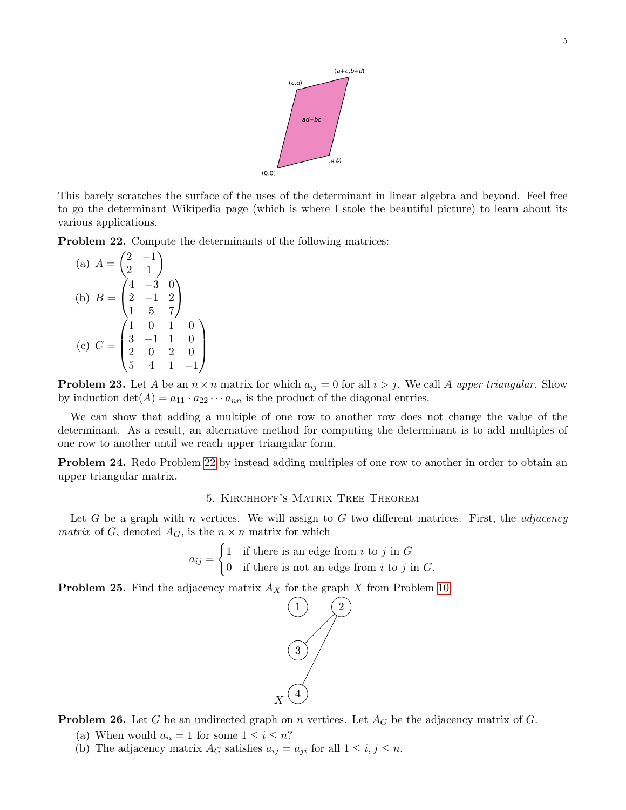

This barely scratches the surface of the uses of the determinant in linear algebra and beyond. Feel free to go the determinant Wikipedia page (which is where I stole the beautiful picture) to learn about its various applications.

<span id="page-4-0"></span>Problem 22. Compute the determinants of the following matrices:

(a) 
$$
A = \begin{pmatrix} 2 & -1 \\ 2 & 1 \end{pmatrix}
$$
  
\n(b)  $B = \begin{pmatrix} 4 & -3 & 0 \\ 2 & -1 & 2 \\ 1 & 5 & 7 \end{pmatrix}$   
\n(c)  $C = \begin{pmatrix} 1 & 0 & 1 & 0 \\ 3 & -1 & 1 & 0 \\ 2 & 0 & 2 & 0 \\ 5 & 4 & 1 & -1 \end{pmatrix}$ 

**Problem 23.** Let A be an  $n \times n$  matrix for which  $a_{ij} = 0$  for all  $i > j$ . We call A upper triangular. Show by induction  $\det(A) = a_{11} \cdot a_{22} \cdots a_{nn}$  is the product of the diagonal entries.

We can show that adding a multiple of one row to another row does not change the value of the determinant. As a result, an alternative method for computing the determinant is to add multiples of one row to another until we reach upper triangular form.

Problem 24. Redo Problem [22](#page-4-0) by instead adding multiples of one row to another in order to obtain an upper triangular matrix.

### 5. Kirchhoff's Matrix Tree Theorem

Let G be a graph with n vertices. We will assign to G two different matrices. First, the *adjacency* matrix of G, denoted  $A_G$ , is the  $n \times n$  matrix for which

$$
a_{ij} = \begin{cases} 1 & \text{if there is an edge from } i \text{ to } j \text{ in } G \\ 0 & \text{if there is not an edge from } i \text{ to } j \text{ in } G. \end{cases}
$$

**Problem 25.** Find the adjacency matrix  $A_X$  for the graph X from Problem [10.](#page-2-3)



**Problem 26.** Let G be an undirected graph on n vertices. Let  $A_G$  be the adjacency matrix of G.

- (a) When would  $a_{ii} = 1$  for some  $1 \leq i \leq n$ ?
- (b) The adjacency matrix  $A_G$  satisfies  $a_{ij} = a_{ji}$  for all  $1 \le i, j \le n$ .